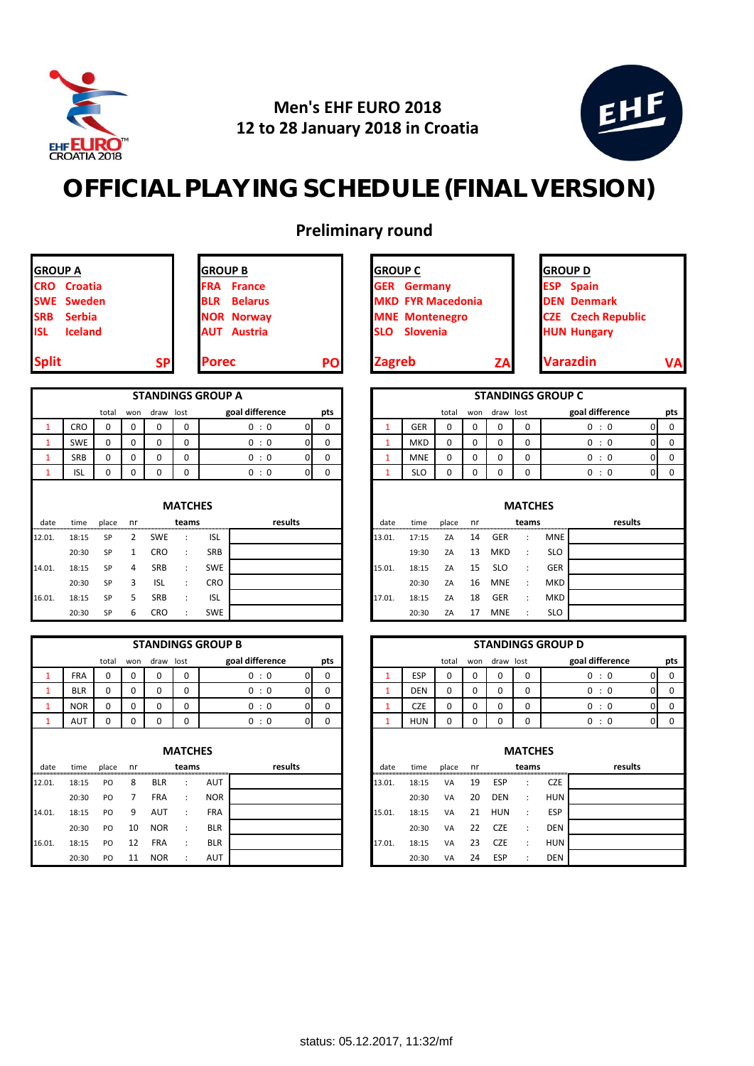

## **Men's EHF EURO 2018 12 to 28 January 2018 in Croatia**



## **OFFICIAL PLAYING SCHEDULE (FINAL VERSION)**

**Preliminary round**

| <b>Split</b>   |                    | <b>SP</b> | <b>Porec</b>                 | PO | <b>Zagreb</b>            | ZA | <b>Varazdin</b>  |
|----------------|--------------------|-----------|------------------------------|----|--------------------------|----|------------------|
| <b>ISL</b>     | <b>Iceland</b>     |           | <b>AUT</b> Austria           |    | <b>SLO</b> Slovenia      |    | <b>HUN Hung</b>  |
| <b>SRB</b>     | Serbia             |           | <b>NOR Norway</b>            |    | <b>MNE Montenegro</b>    |    | <b>CZE</b> Czech |
|                | <b>SWE Sweden</b>  |           | <b>Belarus</b><br><b>BLR</b> |    | <b>MKD FYR Macedonia</b> |    | <b>DEN Denm</b>  |
|                | <b>CRO</b> Croatia |           | <b>FRA</b> France            |    | <b>GER</b> Germany       |    | <b>ESP</b> Spain |
| <b>GROUP A</b> |                    |           | <b>IGROUP B</b>              |    | <b>IGROUP C</b>          |    | <b>IGROUP D</b>  |

| <b>STANDINGS GROUP A</b> |                                                     |   |   |   |   |     |   |  |  |  |  |  |  |  |  |
|--------------------------|-----------------------------------------------------|---|---|---|---|-----|---|--|--|--|--|--|--|--|--|
|                          | goal difference<br>pts<br>draw lost<br>total<br>won |   |   |   |   |     |   |  |  |  |  |  |  |  |  |
| -1                       | <b>CRO</b>                                          | ი | O | 0 | 0 | 0:0 | 0 |  |  |  |  |  |  |  |  |
|                          | <b>SWE</b>                                          |   | o | 0 | 0 | 0:0 | 0 |  |  |  |  |  |  |  |  |
|                          | <b>SRB</b>                                          | ი | o | 0 | 0 | 0:0 | 0 |  |  |  |  |  |  |  |  |
|                          | <b>ISL</b>                                          |   | 0 |   |   | ∙ ∩ |   |  |  |  |  |  |  |  |  |

|        |       |       |    |            | <b>MATCHES</b>       |            |         |        |       |       |    |            | <b>MATCHES</b> |            |         |
|--------|-------|-------|----|------------|----------------------|------------|---------|--------|-------|-------|----|------------|----------------|------------|---------|
| date   | time  | place | nr |            | teams                |            | results | date   | time  | place | nr |            | teams          |            | results |
| 12.01. | 18:15 | SP    | 2  | <b>SWE</b> | $\cdot$ :            | <b>ISL</b> |         | 13.01  | 17:15 | ZA    | 14 | <b>GER</b> |                | <b>MNE</b> |         |
|        | 20:30 | SP    |    | CRO        | $\ddot{\phantom{1}}$ | SRB        |         |        | 19:30 | ZA    | 13 | MKD        | $\mathbb{R}^n$ | <b>SLO</b> |         |
| 14.01. | 18:15 | SP    | 4  | <b>SRB</b> | $\ddot{\phantom{0}}$ | <b>SWE</b> |         | 15.01. | 18:15 | ZA    | 15 | <b>SLO</b> |                | GER        |         |
|        | 20:30 | SP    | 3  | <b>ISL</b> | $\ddot{\phantom{0}}$ | <b>CRO</b> |         |        | 20:30 | ZA    | 16 | <b>MNE</b> | $\sim$ 1.      | MKD        |         |
| 16.01. | 18:15 | SP    | 5. | <b>SRB</b> | $\ddot{\phantom{0}}$ | <b>ISL</b> |         | 17.01. | 18:15 | ZA    | 18 | <b>GER</b> |                | MKD        |         |
|        | 20:30 | SP    | ь  | CRO        |                      | <b>SWE</b> |         |        | 20:30 | ZA    | 17 | <b>MNE</b> |                | <b>SLO</b> |         |

|        |            |             |                |            |                         | <b>STANDINGS GROUP B</b> |                 |          |     |              |            |          |             |            |                         | <b>STANDINGS GROUP D</b> |                 |
|--------|------------|-------------|----------------|------------|-------------------------|--------------------------|-----------------|----------|-----|--------------|------------|----------|-------------|------------|-------------------------|--------------------------|-----------------|
|        |            | total       | won            | draw lost  |                         |                          | goal difference |          | pts |              |            | total    | won         | draw lost  |                         |                          | goal difference |
|        | <b>FRA</b> | $\Omega$    | 0              | $\Omega$   | 0                       |                          | 0:0             | 01       | 0   |              | <b>ESP</b> | $\Omega$ | 0           | $\Omega$   | 0                       |                          | 0:0             |
| 1      | <b>BLR</b> | $\Omega$    | $\mathbf 0$    | $\Omega$   | 0                       |                          | 0:0             | 0        | 0   | 1            | <b>DEN</b> | $\Omega$ | $\mathbf 0$ | $\Omega$   | 0                       |                          | 0:0             |
| 1      | <b>NOR</b> | $\mathbf 0$ | $\mathbf 0$    | $\Omega$   | 0                       |                          | 0:0             | Ωl       | 0   | $\mathbf{1}$ | <b>CZE</b> | $\Omega$ | 0           | $\Omega$   | 0                       |                          | 0:0             |
|        | <b>AUT</b> | $\Omega$    | $\Omega$       | $\Omega$   | $\Omega$                |                          | 0:0             | $\Omega$ | 0   | $\mathbf{1}$ | <b>HUN</b> | $\Omega$ | $\Omega$    | $\Omega$   | $\Omega$                |                          | 0:0             |
| date   | time       | place       | nr             |            | <b>MATCHES</b><br>teams |                          | results         |          |     | date         | time       | place    | nr          |            | <b>MATCHES</b><br>teams |                          | results         |
|        |            |             |                |            |                         |                          |                 |          |     |              |            |          |             |            |                         |                          |                 |
| 12.01. | 18:15      | PO          | 8              | <b>BLR</b> | $\ddot{\phantom{a}}$    | AUT                      |                 |          |     | 13.01.       | 18:15      | VA       | 19          | ESP        | $\ddot{\cdot}$          | <b>CZE</b>               |                 |
|        | 20:30      | PO          | $\overline{7}$ | <b>FRA</b> | $\ddot{\phantom{a}}$    | <b>NOR</b>               |                 |          |     |              | 20:30      | VA       | 20          | <b>DEN</b> | $\ddot{\phantom{a}}$    | HUN                      |                 |
| 14.01. | 18:15      | PO          | 9              | <b>AUT</b> | $\ddot{\phantom{a}}$    | <b>FRA</b>               |                 |          |     | 15.01.       | 18:15      | VA       | 21          | <b>HUN</b> | $\ddot{\phantom{a}}$    | <b>ESP</b>               |                 |
|        | 20:30      | PO          | 10             | <b>NOR</b> | $\ddot{\phantom{a}}$    | <b>BLR</b>               |                 |          |     |              | 20:30      | VA       | 22          | <b>CZE</b> | ÷                       | <b>DEN</b>               |                 |
| 16.01. | 18:15      | PO          | 12             | <b>FRA</b> | $\ddot{\phantom{a}}$    | <b>BLR</b>               |                 |          |     | 17.01.       | 18:15      | VA       | 23          | <b>CZE</b> | ÷                       | HUN                      |                 |
|        | 20:30      | PO          | 11             | <b>NOR</b> | $\ddot{\cdot}$          | <b>AUT</b>               |                 |          |     |              | 20:30      | VA       | 24          | <b>ESP</b> | $\ddot{\cdot}$          | <b>DEN</b>               |                 |

| <b>GROUP C</b> |                          |  |
|----------------|--------------------------|--|
|                | <b>GER</b> Germany       |  |
|                | <b>MKD FYR Macedonia</b> |  |
|                | <b>MNE</b> Montenegro    |  |
|                | <b>SLO</b> Slovenia      |  |
|                |                          |  |
| 7 1            |                          |  |



|            |            |     |           | <b>STANDINGS GROUP A</b> |    |     |  |            |       |     |           | <b>STANDINGS GROUP C</b> |     |
|------------|------------|-----|-----------|--------------------------|----|-----|--|------------|-------|-----|-----------|--------------------------|-----|
|            | total      | won | draw lost | goal difference          |    | pts |  |            | total | won | draw lost | goal difference          | pts |
| <b>CRO</b> |            |     |           | 0:0                      | οı |     |  | GER        | 0     |     |           | 0:0                      |     |
| <b>SWE</b> | $\sqrt{2}$ |     |           | 0:0                      | ΩL |     |  | <b>MKD</b> | 0     |     |           | 0:0                      |     |
| <b>SRB</b> |            |     |           | 0:0                      | ΩI |     |  | <b>MNE</b> | ∩     |     |           | 0:0                      |     |
| <b>ISL</b> |            |     |           | 0:0                      | 01 |     |  | SLO        |       |     |           | 0:0                      |     |

|   | <b>MATCHES</b>       |            |         |        |       |       |    |            | <b>MATCHES</b>       |            |         |
|---|----------------------|------------|---------|--------|-------|-------|----|------------|----------------------|------------|---------|
|   | teams                |            | results | date   | time  | place | nr |            | teams                |            | results |
| Έ |                      | <b>ISL</b> |         | 13.01. | 17:15 | ZA    | 14 | <b>GER</b> | ÷                    | <b>MNE</b> |         |
| n | $\ddot{\phantom{a}}$ | SRB        |         |        | 19:30 | ZA    | 13 | MKD        | ÷                    | <b>SLO</b> |         |
|   | ÷                    | <b>SWE</b> |         | 15.01. | 18:15 | ZA    | 15 | <b>SLO</b> | ÷                    | <b>GER</b> |         |
|   |                      | <b>CRO</b> |         |        | 20:30 | ZA    | 16 | <b>MNE</b> | $\ddot{\phantom{a}}$ | <b>MKD</b> |         |
|   | ٠<br>$\cdot$         | <b>ISL</b> |         | 17.01. | 18:15 | ZA    | 18 | <b>GER</b> | ÷                    | MKD        |         |
|   |                      | <b>SWE</b> |         |        | 20:30 | ZA    | 17 | <b>MNE</b> | ÷                    | SLO        |         |

|                                                                  |            |          |     |            |                      | <b>STANDINGS GROUP B</b> |                 |                |              |
|------------------------------------------------------------------|------------|----------|-----|------------|----------------------|--------------------------|-----------------|----------------|--------------|
|                                                                  |            | total    | won | draw lost  |                      |                          | goal difference |                | pts          |
|                                                                  | <b>FRA</b> | 0        | 0   | 0          | $\Omega$             |                          | 0:0             | ΩI             | $\Omega$     |
|                                                                  | <b>BLR</b> | 0        | 0   | $\Omega$   | 0                    |                          | 0:0             | Ωl             | 0            |
|                                                                  | <b>NOR</b> | $\Omega$ | 0   | 0          | $\Omega$             |                          | 0:0             | 0              | $\Omega$     |
|                                                                  | AUT        | 0        | 0   |            | $\Omega$             |                          | 0:0             | $\overline{0}$ | $\mathbf{0}$ |
| <b>MATCHES</b><br>results<br>teams<br>place<br>ate<br>time<br>nr |            |          |     |            |                      |                          |                 |                |              |
|                                                                  |            |          |     |            |                      |                          |                 |                |              |
| $\overline{1}$                                                   | 18:15      | PO       | 8   | <b>BLR</b> | $\ddot{\phantom{a}}$ | <b>AUT</b>               |                 |                |              |
|                                                                  | 20:30      | PO.      | 7   | <b>FRA</b> | $\ddot{\cdot}$       | <b>NOR</b>               |                 |                |              |
| $\overline{1}$                                                   | 18:15      | PO       | 9   | <b>AUT</b> | $\ddot{\phantom{a}}$ | <b>FRA</b>               |                 |                |              |
|                                                                  | 20:30      | PO       | 10  | <b>NOR</b> | $\ddot{\phantom{a}}$ | <b>BLR</b>               |                 |                |              |
| )1.                                                              | 18:15      | PO       | 12  | <b>FRA</b> | $\ddot{\cdot}$       | <b>BLR</b>               |                 |                |              |
|                                                                  | 20.30      | PO.      | 11  | <b>NOR</b> |                      | AUT                      |                 |                |              |